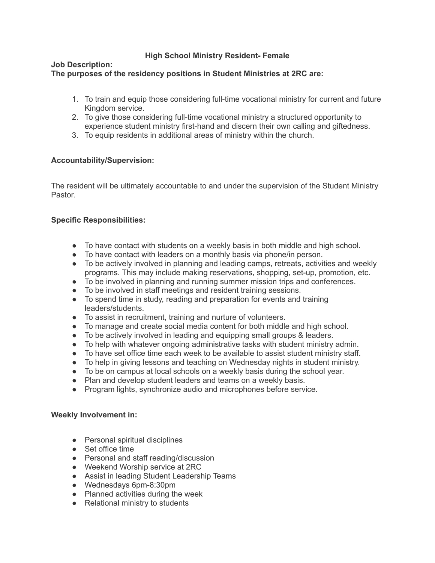# **High School Ministry Resident- Female**

### **Job Description: The purposes of the residency positions in Student Ministries at 2RC are:**

- 1. To train and equip those considering full-time vocational ministry for current and future Kingdom service.
- 2. To give those considering full-time vocational ministry a structured opportunity to experience student ministry first-hand and discern their own calling and giftedness.
- 3. To equip residents in additional areas of ministry within the church.

# **Accountability/Supervision:**

The resident will be ultimately accountable to and under the supervision of the Student Ministry **Pastor** 

# **Specific Responsibilities:**

- To have contact with students on a weekly basis in both middle and high school.
- To have contact with leaders on a monthly basis via phone/in person.
- To be actively involved in planning and leading camps, retreats, activities and weekly programs. This may include making reservations, shopping, set-up, promotion, etc.
- To be involved in planning and running summer mission trips and conferences.
- To be involved in staff meetings and resident training sessions.
- To spend time in study, reading and preparation for events and training leaders/students.
- To assist in recruitment, training and nurture of volunteers.
- To manage and create social media content for both middle and high school.
- To be actively involved in leading and equipping small groups & leaders.
- To help with whatever ongoing administrative tasks with student ministry admin.
- To have set office time each week to be available to assist student ministry staff.
- To help in giving lessons and teaching on Wednesday nights in student ministry.
- To be on campus at local schools on a weekly basis during the school year.
- Plan and develop student leaders and teams on a weekly basis.
- Program lights, synchronize audio and microphones before service.

## **Weekly Involvement in:**

- Personal spiritual disciplines
- Set office time
- Personal and staff reading/discussion
- Weekend Worship service at 2RC
- Assist in leading Student Leadership Teams
- Wednesdays 6pm-8:30pm
- Planned activities during the week
- Relational ministry to students